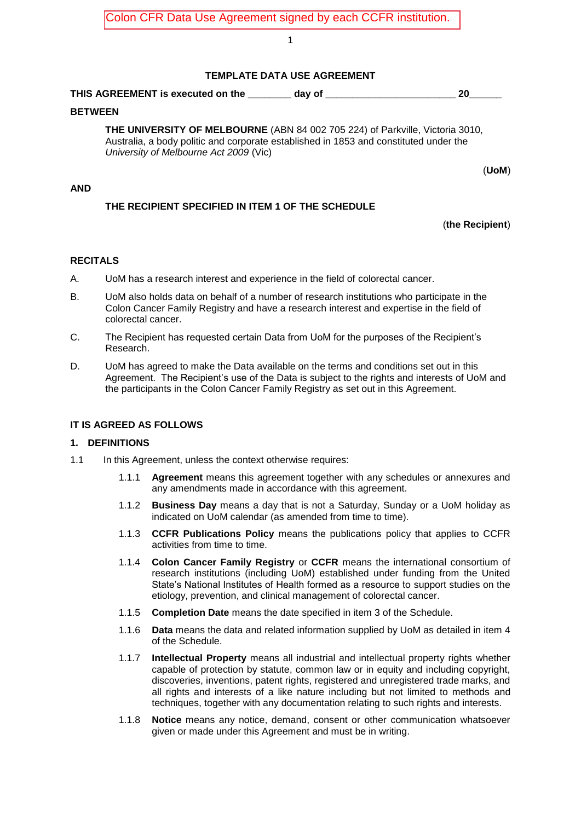#### 1

## **TEMPLATE DATA USE AGREEMENT**

# **THIS AGREEMENT is executed on the \_\_\_\_\_\_\_\_ day of \_\_\_\_\_\_\_\_\_\_\_\_\_\_\_\_\_\_\_\_\_\_\_\_ 20\_\_\_\_\_\_**

#### **BETWEEN**

**THE UNIVERSITY OF MELBOURNE** (ABN 84 002 705 224) of Parkville, Victoria 3010, Australia, a body politic and corporate established in 1853 and constituted under the *University of Melbourne Act 2009* (Vic)

(**UoM**)

#### **AND**

# **THE RECIPIENT SPECIFIED IN ITEM 1 OF THE SCHEDULE**

## (**the Recipient**)

## **RECITALS**

- A. UoM has a research interest and experience in the field of colorectal cancer.
- B. UoM also holds data on behalf of a number of research institutions who participate in the Colon Cancer Family Registry and have a research interest and expertise in the field of colorectal cancer.
- C. The Recipient has requested certain Data from UoM for the purposes of the Recipient's Research.
- D. UoM has agreed to make the Data available on the terms and conditions set out in this Agreement. The Recipient's use of the Data is subject to the rights and interests of UoM and the participants in the Colon Cancer Family Registry as set out in this Agreement.

## **IT IS AGREED AS FOLLOWS**

#### **1. DEFINITIONS**

- 1.1 In this Agreement, unless the context otherwise requires:
	- 1.1.1 **Agreement** means this agreement together with any schedules or annexures and any amendments made in accordance with this agreement.
	- 1.1.2 **Business Day** means a day that is not a Saturday, Sunday or a UoM holiday as indicated on UoM calendar (as amended from time to time).
	- 1.1.3 **CCFR Publications Policy** means the publications policy that applies to CCFR activities from time to time.
	- 1.1.4 **Colon Cancer Family Registry** or **CCFR** means the international consortium of research institutions (including UoM) established under funding from the United State's National Institutes of Health formed as a resource to support studies on the etiology, prevention, and clinical management of colorectal cancer.
	- 1.1.5 **Completion Date** means the date specified in item 3 of the Schedule.
	- 1.1.6 **Data** means the data and related information supplied by UoM as detailed in item 4 of the Schedule.
	- 1.1.7 **Intellectual Property** means all industrial and intellectual property rights whether capable of protection by statute, common law or in equity and including copyright, discoveries, inventions, patent rights, registered and unregistered trade marks, and all rights and interests of a like nature including but not limited to methods and techniques, together with any documentation relating to such rights and interests.
	- 1.1.8 **Notice** means any notice, demand, consent or other communication whatsoever given or made under this Agreement and must be in writing.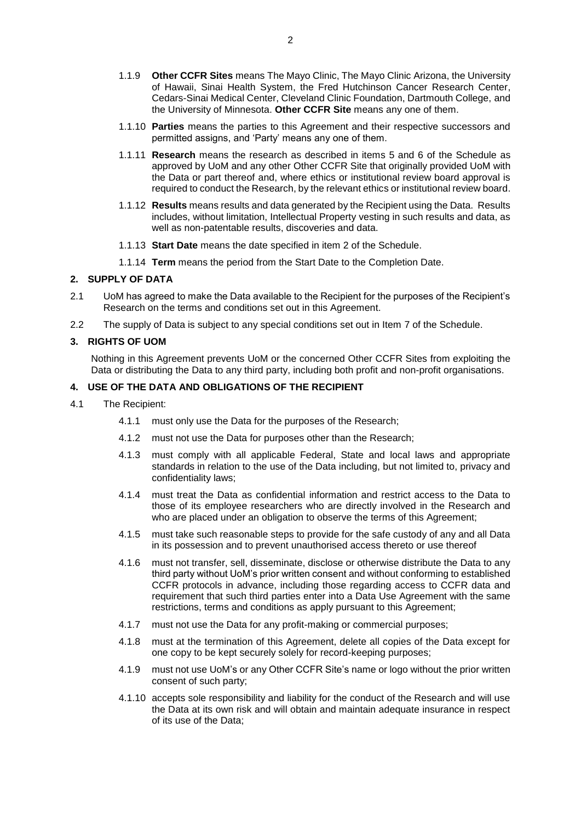- 1.1.9 **Other CCFR Sites** means The Mayo Clinic, The Mayo Clinic Arizona, the University of Hawaii, Sinai Health System, the Fred Hutchinson Cancer Research Center, Cedars-Sinai Medical Center, Cleveland Clinic Foundation, Dartmouth College, and the University of Minnesota. **Other CCFR Site** means any one of them.
- 1.1.10 **Parties** means the parties to this Agreement and their respective successors and permitted assigns, and 'Party' means any one of them.
- 1.1.11 **Research** means the research as described in items 5 and 6 of the Schedule as approved by UoM and any other Other CCFR Site that originally provided UoM with the Data or part thereof and, where ethics or institutional review board approval is required to conduct the Research, by the relevant ethics or institutional review board.
- 1.1.12 **Results** means results and data generated by the Recipient using the Data. Results includes, without limitation, Intellectual Property vesting in such results and data, as well as non-patentable results, discoveries and data.
- 1.1.13 **Start Date** means the date specified in item 2 of the Schedule.
- 1.1.14 **Term** means the period from the Start Date to the Completion Date.

#### **2. SUPPLY OF DATA**

- 2.1 UoM has agreed to make the Data available to the Recipient for the purposes of the Recipient's Research on the terms and conditions set out in this Agreement.
- <span id="page-1-0"></span>2.2 The supply of Data is subject to any special conditions set out in Item 7 of the Schedule.

#### **3. RIGHTS OF UOM**

Nothing in this Agreement prevents UoM or the concerned Other CCFR Sites from exploiting the Data or distributing the Data to any third party, including both profit and non-profit organisations.

# **4. USE OF THE DATA AND OBLIGATIONS OF THE RECIPIENT**

- <span id="page-1-8"></span><span id="page-1-7"></span><span id="page-1-6"></span><span id="page-1-5"></span><span id="page-1-4"></span><span id="page-1-3"></span><span id="page-1-2"></span><span id="page-1-1"></span>4.1 The Recipient:
	- 4.1.1 must only use the Data for the purposes of the Research;
	- 4.1.2 must not use the Data for purposes other than the Research;
	- 4.1.3 must comply with all applicable Federal, State and local laws and appropriate standards in relation to the use of the Data including, but not limited to, privacy and confidentiality laws;
	- 4.1.4 must treat the Data as confidential information and restrict access to the Data to those of its employee researchers who are directly involved in the Research and who are placed under an obligation to observe the terms of this Agreement;
	- 4.1.5 must take such reasonable steps to provide for the safe custody of any and all Data in its possession and to prevent unauthorised access thereto or use thereof
	- 4.1.6 must not transfer, sell, disseminate, disclose or otherwise distribute the Data to any third party without UoM's prior written consent and without conforming to established CCFR protocols in advance, including those regarding access to CCFR data and requirement that such third parties enter into a Data Use Agreement with the same restrictions, terms and conditions as apply pursuant to this Agreement;
	- 4.1.7 must not use the Data for any profit-making or commercial purposes;
	- 4.1.8 must at the termination of this Agreement, delete all copies of the Data except for one copy to be kept securely solely for record-keeping purposes;
	- 4.1.9 must not use UoM's or any Other CCFR Site's name or logo without the prior written consent of such party;
	- 4.1.10 accepts sole responsibility and liability for the conduct of the Research and will use the Data at its own risk and will obtain and maintain adequate insurance in respect of its use of the Data;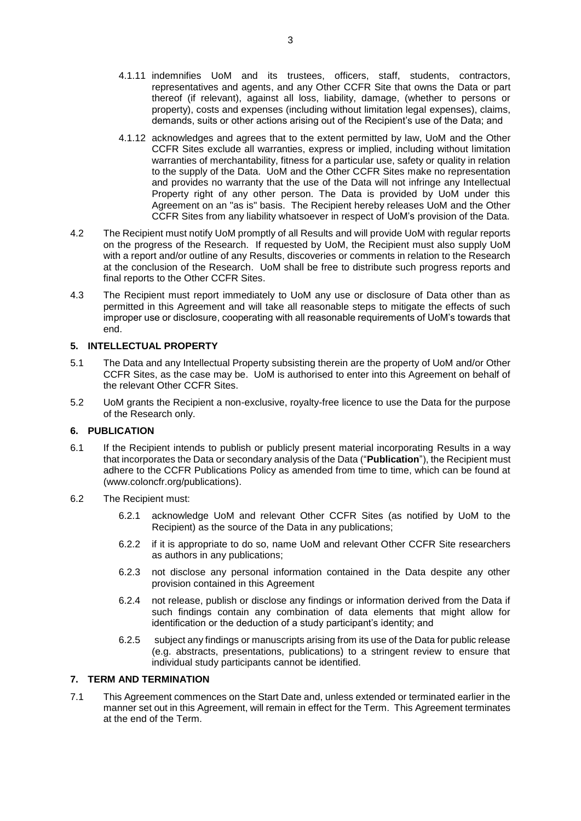- <span id="page-2-0"></span>4.1.11 indemnifies UoM and its trustees, officers, staff, students, contractors, representatives and agents, and any Other CCFR Site that owns the Data or part thereof (if relevant), against all loss, liability, damage, (whether to persons or property), costs and expenses (including without limitation legal expenses), claims, demands, suits or other actions arising out of the Recipient's use of the Data; and
- <span id="page-2-1"></span>4.1.12 acknowledges and agrees that to the extent permitted by law, UoM and the Other CCFR Sites exclude all warranties, express or implied, including without limitation warranties of merchantability, fitness for a particular use, safety or quality in relation to the supply of the Data. UoM and the Other CCFR Sites make no representation and provides no warranty that the use of the Data will not infringe any Intellectual Property right of any other person. The Data is provided by UoM under this Agreement on an "as is" basis. The Recipient hereby releases UoM and the Other CCFR Sites from any liability whatsoever in respect of UoM's provision of the Data.
- 4.2 The Recipient must notify UoM promptly of all Results and will provide UoM with regular reports on the progress of the Research. If requested by UoM, the Recipient must also supply UoM with a report and/or outline of any Results, discoveries or comments in relation to the Research at the conclusion of the Research. UoM shall be free to distribute such progress reports and final reports to the Other CCFR Sites.
- 4.3 The Recipient must report immediately to UoM any use or disclosure of Data other than as permitted in this Agreement and will take all reasonable steps to mitigate the effects of such improper use or disclosure, cooperating with all reasonable requirements of UoM's towards that end.

## <span id="page-2-2"></span>**5. INTELLECTUAL PROPERTY**

- 5.1 The Data and any Intellectual Property subsisting therein are the property of UoM and/or Other CCFR Sites, as the case may be. UoM is authorised to enter into this Agreement on behalf of the relevant Other CCFR Sites.
- 5.2 UoM grants the Recipient a non-exclusive, royalty-free licence to use the Data for the purpose of the Research only.

#### <span id="page-2-3"></span>**6. PUBLICATION**

- 6.1 If the Recipient intends to publish or publicly present material incorporating Results in a way that incorporates the Data or secondary analysis of the Data ("**Publication**"), the Recipient must adhere to the CCFR Publications Policy as amended from time to time, which can be found at (www.coloncfr.org/publications).
- 6.2 The Recipient must:
	- 6.2.1 acknowledge UoM and relevant Other CCFR Sites (as notified by UoM to the Recipient) as the source of the Data in any publications;
	- 6.2.2 if it is appropriate to do so, name UoM and relevant Other CCFR Site researchers as authors in any publications;
	- 6.2.3 not disclose any personal information contained in the Data despite any other provision contained in this Agreement
	- 6.2.4 not release, publish or disclose any findings or information derived from the Data if such findings contain any combination of data elements that might allow for identification or the deduction of a study participant's identity; and
	- 6.2.5 subject any findings or manuscripts arising from its use of the Data for public release (e.g. abstracts, presentations, publications) to a stringent review to ensure that individual study participants cannot be identified.

# **7. TERM AND TERMINATION**

7.1 This Agreement commences on the Start Date and, unless extended or terminated earlier in the manner set out in this Agreement, will remain in effect for the Term. This Agreement terminates at the end of the Term.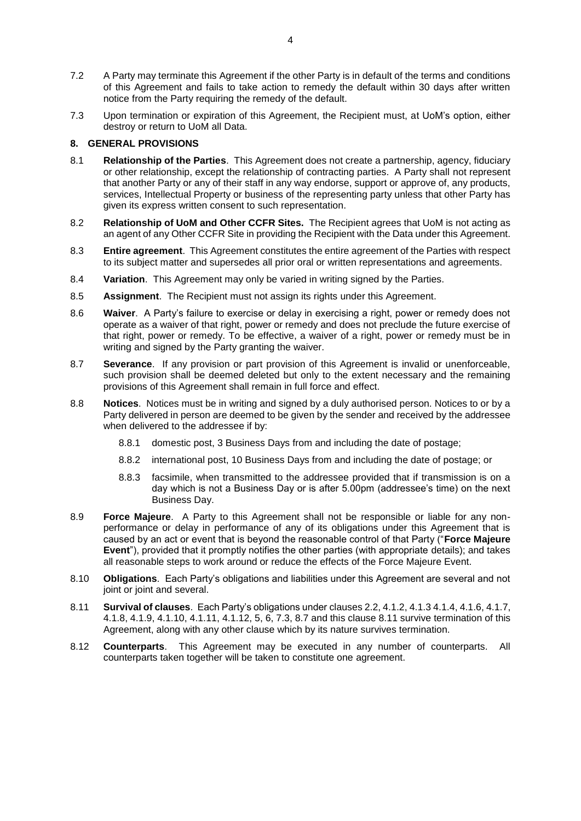- 7.2 A Party may terminate this Agreement if the other Party is in default of the terms and conditions of this Agreement and fails to take action to remedy the default within 30 days after written notice from the Party requiring the remedy of the default.
- <span id="page-3-0"></span>7.3 Upon termination or expiration of this Agreement, the Recipient must, at UoM's option, either destroy or return to UoM all Data.

## **8. GENERAL PROVISIONS**

- 8.1 **Relationship of the Parties**. This Agreement does not create a partnership, agency, fiduciary or other relationship, except the relationship of contracting parties. A Party shall not represent that another Party or any of their staff in any way endorse, support or approve of, any products, services, Intellectual Property or business of the representing party unless that other Party has given its express written consent to such representation.
- 8.2 **Relationship of UoM and Other CCFR Sites.** The Recipient agrees that UoM is not acting as an agent of any Other CCFR Site in providing the Recipient with the Data under this Agreement.
- 8.3 **Entire agreement**. This Agreement constitutes the entire agreement of the Parties with respect to its subject matter and supersedes all prior oral or written representations and agreements.
- 8.4 **Variation**. This Agreement may only be varied in writing signed by the Parties.
- 8.5 **Assignment**. The Recipient must not assign its rights under this Agreement.
- 8.6 **Waiver**. A Party's failure to exercise or delay in exercising a right, power or remedy does not operate as a waiver of that right, power or remedy and does not preclude the future exercise of that right, power or remedy. To be effective, a waiver of a right, power or remedy must be in writing and signed by the Party granting the waiver.
- <span id="page-3-1"></span>8.7 **Severance**. If any provision or part provision of this Agreement is invalid or unenforceable, such provision shall be deemed deleted but only to the extent necessary and the remaining provisions of this Agreement shall remain in full force and effect.
- 8.8 **Notices**. Notices must be in writing and signed by a duly authorised person. Notices to or by a Party delivered in person are deemed to be given by the sender and received by the addressee when delivered to the addressee if by:
	- 8.8.1 domestic post, 3 Business Days from and including the date of postage;
	- 8.8.2 international post, 10 Business Days from and including the date of postage; or
	- 8.8.3 facsimile, when transmitted to the addressee provided that if transmission is on a day which is not a Business Day or is after 5.00pm (addressee's time) on the next Business Day.
- 8.9 **Force Majeure**. A Party to this Agreement shall not be responsible or liable for any nonperformance or delay in performance of any of its obligations under this Agreement that is caused by an act or event that is beyond the reasonable control of that Party ("**Force Majeure Event**"), provided that it promptly notifies the other parties (with appropriate details); and takes all reasonable steps to work around or reduce the effects of the Force Majeure Event.
- 8.10 **Obligations**. Each Party's obligations and liabilities under this Agreement are several and not joint or joint and several.
- <span id="page-3-2"></span>8.11 **Survival of clauses**.Each Party's obligations under clause[s 2.2,](#page-1-0) [4.1.2,](#page-1-1) [4.1.3](#page-1-2) [4.1.4,](#page-1-3) [4.1.6,](#page-1-4) [4.1.7,](#page-1-5) [4.1.8,](#page-1-6) [4.1.9,](#page-1-7) [4.1.10,](#page-1-8) [4.1.11,](#page-2-0) [4.1.12,](#page-2-1) [5,](#page-2-2) [6,](#page-2-3) [7.3,](#page-3-0) [8.7](#page-3-1) and this clause [8.11](#page-3-2) survive termination of this Agreement, along with any other clause which by its nature survives termination.
- 8.12 **Counterparts**. This Agreement may be executed in any number of counterparts. All counterparts taken together will be taken to constitute one agreement.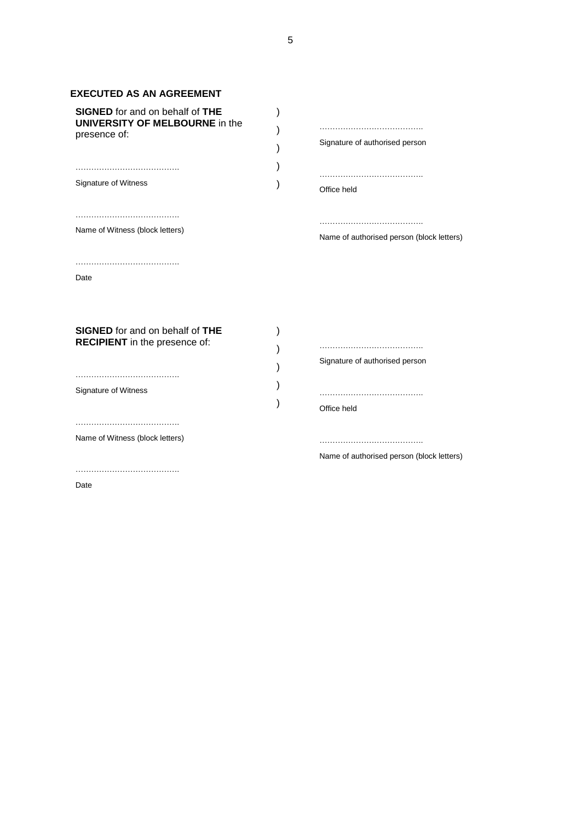# **EXECUTED AS AN AGREEMENT**

| <b>SIGNED</b> for and on behalf of THE<br><b>UNIVERSITY OF MELBOURNE in the</b><br>presence of:<br>Signature of Witness<br>Name of Witness (block letters) | Signature of authorised person<br>Office held<br>Name of authorised person (block letters) |
|------------------------------------------------------------------------------------------------------------------------------------------------------------|--------------------------------------------------------------------------------------------|
| Date                                                                                                                                                       |                                                                                            |
| <b>SIGNED</b> for and on behalf of THE<br><b>RECIPIENT</b> in the presence of:<br>Signature of Witness                                                     | Signature of authorised person<br>Office held                                              |
| Name of Witness (block letters)                                                                                                                            | Name of authorised person (block letters)                                                  |
| Date                                                                                                                                                       |                                                                                            |

5